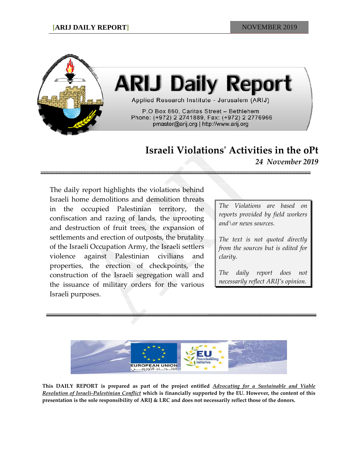

# **Israeli Violationsʹ Activities in the oPt**

*24 November 2019*

The daily report highlights the violations behind Israeli home demolitions and demolition threats in the occupied Palestinian territory, the confiscation and razing of lands, the uprooting and destruction of fruit trees, the expansion of settlements and erection of outposts, the brutality of the Israeli Occupation Army, the Israeli settlers violence against Palestinian civilians and properties, the erection of checkpoints, the construction of the Israeli segregation wall and the issuance of military orders for the various Israeli purposes.

*The Violations are based on reports provided by field workers and\or news sources.*

*The text is not quoted directly from the sources but is edited for clarity.*

*The daily report does not necessarily reflect ARIJ's opinion.*



**This DAILY REPORT is prepared as part of the project entitled** *Advocating for a Sustainable and Viable* Resolution of Israeli-Palestinian Conflict which is financially supported by the EU. However, the content of this presentation is the sole responsibility of ARIJ & LRC and does not necessarily reflect those of the donors.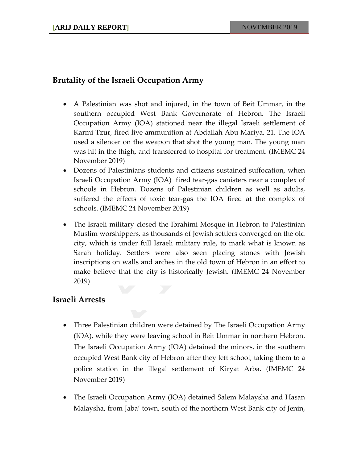## **Brutality of the Israeli Occupation Army**

- A Palestinian was shot and injured, in the town of Beit Ummar, in the southern occupied West Bank Governorate of Hebron. The Israeli Occupation Army (IOA) stationed near the illegal Israeli settlement of Karmi Tzur, fired live ammunition at Abdallah Abu Mariya, 21. The IOA used a silencer on the weapon that shot the young man. The young man was hit in the thigh, and transferred to hospital for treatment. (IMEMC 24 November 2019)
- Dozens of Palestinians students and citizens sustained suffocation, when Israeli Occupation Army (IOA) fired tear‐gas canisters near a complex of schools in Hebron. Dozens of Palestinian children as well as adults, suffered the effects of toxic tear‐gas the IOA fired at the complex of schools. (IMEMC 24 November 2019)
- The Israeli military closed the Ibrahimi Mosque in Hebron to Palestinian Muslim worshippers, as thousands of Jewish settlers converged on the old city, which is under full Israeli military rule, to mark what is known as Sarah holiday. Settlers were also seen placing stones with Jewish inscriptions on walls and arches in the old town of Hebron in an effort to make believe that the city is historically Jewish. (IMEMC 24 November 2019)

#### **Israeli Arrests**

- Three Palestinian children were detained by The Israeli Occupation Army (IOA), while they were leaving school in Beit Ummar in northern Hebron. The Israeli Occupation Army (IOA) detained the minors, in the southern occupied West Bank city of Hebron after they left school, taking them to a police station in the illegal settlement of Kiryat Arba. (IMEMC 24 November 2019)
- The Israeli Occupation Army (IOA) detained Salem Malaysha and Hasan Malaysha, from Jaba' town, south of the northern West Bank city of Jenin,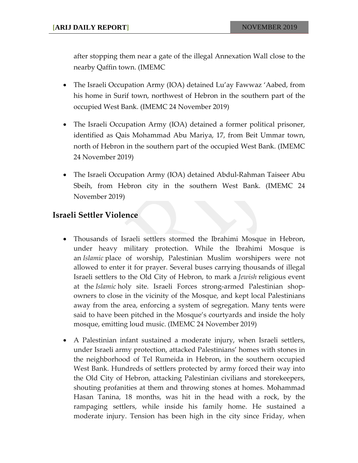after stopping them near a gate of the illegal Annexation Wall close to the nearby Qaffin town. (IMEMC

- The Israeli Occupation Army (IOA) detained Lu'ay Fawwaz 'Aabed, from his home in Surif town, northwest of Hebron in the southern part of the occupied West Bank. (IMEMC 24 November 2019)
- The Israeli Occupation Army (IOA) detained a former political prisoner, identified as Qais Mohammad Abu Mariya, 17, from Beit Ummar town, north of Hebron in the southern part of the occupied West Bank. (IMEMC 24 November 2019)
- The Israeli Occupation Army (IOA) detained Abdul-Rahman Taiseer Abu Sbeih, from Hebron city in the southern West Bank. (IMEMC 24 November 2019)

### **Israeli Settler Violence**

- Thousands of Israeli settlers stormed the Ibrahimi Mosque in Hebron, under heavy military protection. While the Ibrahimi Mosque is an *Islamic* place of worship, Palestinian Muslim worshipers were not allowed to enter it for prayer. Several buses carrying thousands of illegal Israeli settlers to the Old City of Hebron, to mark a *Jewish* religious event at the *Islamic* holy site. Israeli Forces strong‐armed Palestinian shop‐ owners to close in the vicinity of the Mosque, and kept local Palestinians away from the area, enforcing a system of segregation. Many tents were said to have been pitched in the Mosque's courtyards and inside the holy mosque, emitting loud music. (IMEMC 24 November 2019)
- A Palestinian infant sustained a moderate injury, when Israeli settlers, under Israeli army protection, attacked Palestinians' homes with stones in the neighborhood of Tel Rumeida in Hebron, in the southern occupied West Bank. Hundreds of settlers protected by army forced their way into the Old City of Hebron, attacking Palestinian civilians and storekeepers, shouting profanities at them and throwing stones at homes. Mohammad Hasan Tanina, 18 months, was hit in the head with a rock, by the rampaging settlers, while inside his family home. He sustained a moderate injury. Tension has been high in the city since Friday, when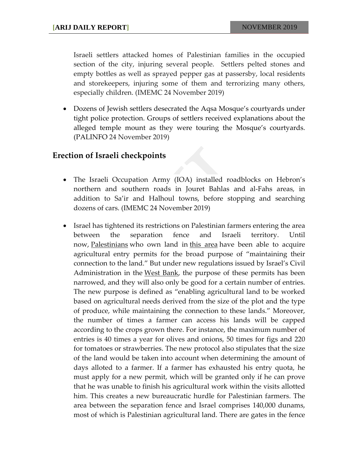Israeli settlers attacked homes of Palestinian families in the occupied section of the city, injuring several people. Settlers pelted stones and empty bottles as well as sprayed pepper gas at passersby, local residents and storekeepers, injuring some of them and terrorizing many others, especially children. (IMEMC 24 November 2019)

 Dozens of Jewish settlers desecrated the Aqsa Mosque's courtyards under tight police protection. Groups of settlers received explanations about the alleged temple mount as they were touring the Mosque's courtyards. (PALINFO 24 November 2019)

#### **Erection of Israeli checkpoints**

- The Israeli Occupation Army (IOA) installed roadblocks on Hebron's northern and southern roads in Jouret Bahlas and al‐Fahs areas, in addition to Sa'ir and Halhoul towns, before stopping and searching dozens of cars. (IMEMC 24 November 2019)
- Israel has tightened its restrictions on Palestinian farmers entering the area between the separation fence and Israeli territory. Until now, [Palestinians](https://www.haaretz.com/middle-east-news/palestinians) who own land in this [area](https://www.haaretz.com/israel-news/.premium-farming-permits-for-palestinians-in-west-bank-seam-zone-cut-drastically-1.6805980) have been able to acquire agricultural entry permits for the broad purpose of "maintaining their connection to the land." But under new regulations issued by Israel's Civil Administration in the West [Bank](https://www.haaretz.com/misc/tags/TAG-west-bank-1.5598977), the purpose of these permits has been narrowed, and they will also only be good for a certain number of entries. The new purpose is defined as "enabling agricultural land to be worked based on agricultural needs derived from the size of the plot and the type of produce, while maintaining the connection to these lands." Moreover, the number of times a farmer can access his lands will be capped according to the crops grown there. For instance, the maximum number of entries is 40 times a year for olives and onions, 50 times for figs and 220 for tomatoes or strawberries. The new protocol also stipulates that the size of the land would be taken into account when determining the amount of days alloted to a farmer. If a farmer has exhausted his entry quota, he must apply for a new permit, which will be granted only if he can prove that he was unable to finish his agricultural work within the visits allotted him. This creates a new bureaucratic hurdle for Palestinian farmers. The area between the separation fence and Israel comprises 140,000 dunams, most of which is Palestinian agricultural land. There are gates in the fence